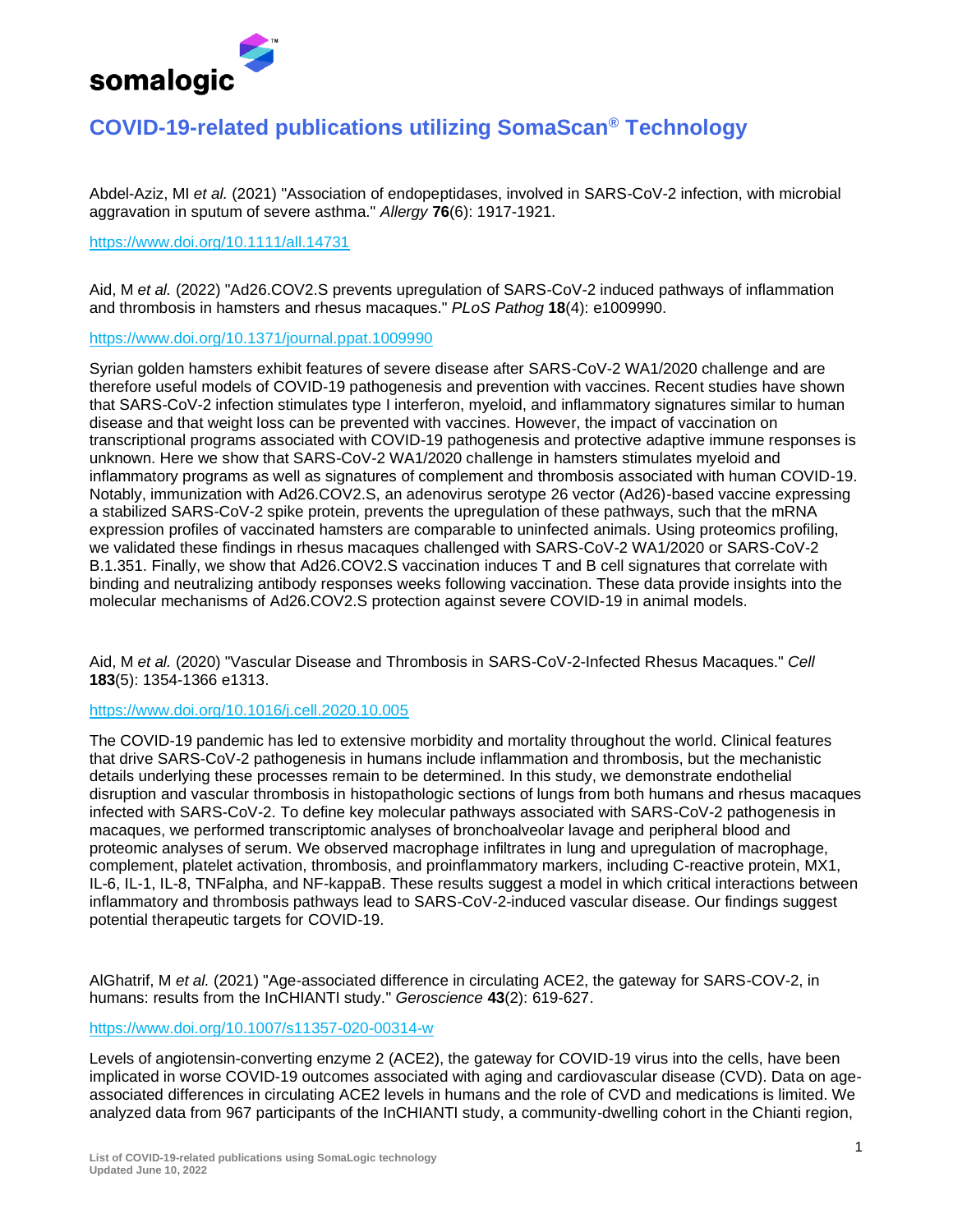

# **COVID-19-related publications utilizing SomaScan® Technology**

Abdel-Aziz, MI *et al.* (2021) "Association of endopeptidases, involved in SARS-CoV-2 infection, with microbial aggravation in sputum of severe asthma." *Allergy* **76**(6): 1917-1921.

#### <https://www.doi.org/10.1111/all.14731>

Aid, M *et al.* (2022) "Ad26.COV2.S prevents upregulation of SARS-CoV-2 induced pathways of inflammation and thrombosis in hamsters and rhesus macaques." *PLoS Pathog* **18**(4): e1009990.

### <https://www.doi.org/10.1371/journal.ppat.1009990>

Syrian golden hamsters exhibit features of severe disease after SARS-CoV-2 WA1/2020 challenge and are therefore useful models of COVID-19 pathogenesis and prevention with vaccines. Recent studies have shown that SARS-CoV-2 infection stimulates type I interferon, myeloid, and inflammatory signatures similar to human disease and that weight loss can be prevented with vaccines. However, the impact of vaccination on transcriptional programs associated with COVID-19 pathogenesis and protective adaptive immune responses is unknown. Here we show that SARS-CoV-2 WA1/2020 challenge in hamsters stimulates myeloid and inflammatory programs as well as signatures of complement and thrombosis associated with human COVID-19. Notably, immunization with Ad26.COV2.S, an adenovirus serotype 26 vector (Ad26)-based vaccine expressing a stabilized SARS-CoV-2 spike protein, prevents the upregulation of these pathways, such that the mRNA expression profiles of vaccinated hamsters are comparable to uninfected animals. Using proteomics profiling, we validated these findings in rhesus macaques challenged with SARS-CoV-2 WA1/2020 or SARS-CoV-2 B.1.351. Finally, we show that Ad26.COV2.S vaccination induces T and B cell signatures that correlate with binding and neutralizing antibody responses weeks following vaccination. These data provide insights into the molecular mechanisms of Ad26.COV2.S protection against severe COVID-19 in animal models.

Aid, M *et al.* (2020) "Vascular Disease and Thrombosis in SARS-CoV-2-Infected Rhesus Macaques." *Cell* **183**(5): 1354-1366 e1313.

# <https://www.doi.org/10.1016/j.cell.2020.10.005>

The COVID-19 pandemic has led to extensive morbidity and mortality throughout the world. Clinical features that drive SARS-CoV-2 pathogenesis in humans include inflammation and thrombosis, but the mechanistic details underlying these processes remain to be determined. In this study, we demonstrate endothelial disruption and vascular thrombosis in histopathologic sections of lungs from both humans and rhesus macaques infected with SARS-CoV-2. To define key molecular pathways associated with SARS-CoV-2 pathogenesis in macaques, we performed transcriptomic analyses of bronchoalveolar lavage and peripheral blood and proteomic analyses of serum. We observed macrophage infiltrates in lung and upregulation of macrophage, complement, platelet activation, thrombosis, and proinflammatory markers, including C-reactive protein, MX1, IL-6, IL-1, IL-8, TNFalpha, and NF-kappaB. These results suggest a model in which critical interactions between inflammatory and thrombosis pathways lead to SARS-CoV-2-induced vascular disease. Our findings suggest potential therapeutic targets for COVID-19.

AlGhatrif, M *et al.* (2021) "Age-associated difference in circulating ACE2, the gateway for SARS-COV-2, in humans: results from the InCHIANTI study." *Geroscience* **43**(2): 619-627.

# <https://www.doi.org/10.1007/s11357-020-00314-w>

Levels of angiotensin-converting enzyme 2 (ACE2), the gateway for COVID-19 virus into the cells, have been implicated in worse COVID-19 outcomes associated with aging and cardiovascular disease (CVD). Data on ageassociated differences in circulating ACE2 levels in humans and the role of CVD and medications is limited. We analyzed data from 967 participants of the InCHIANTI study, a community-dwelling cohort in the Chianti region,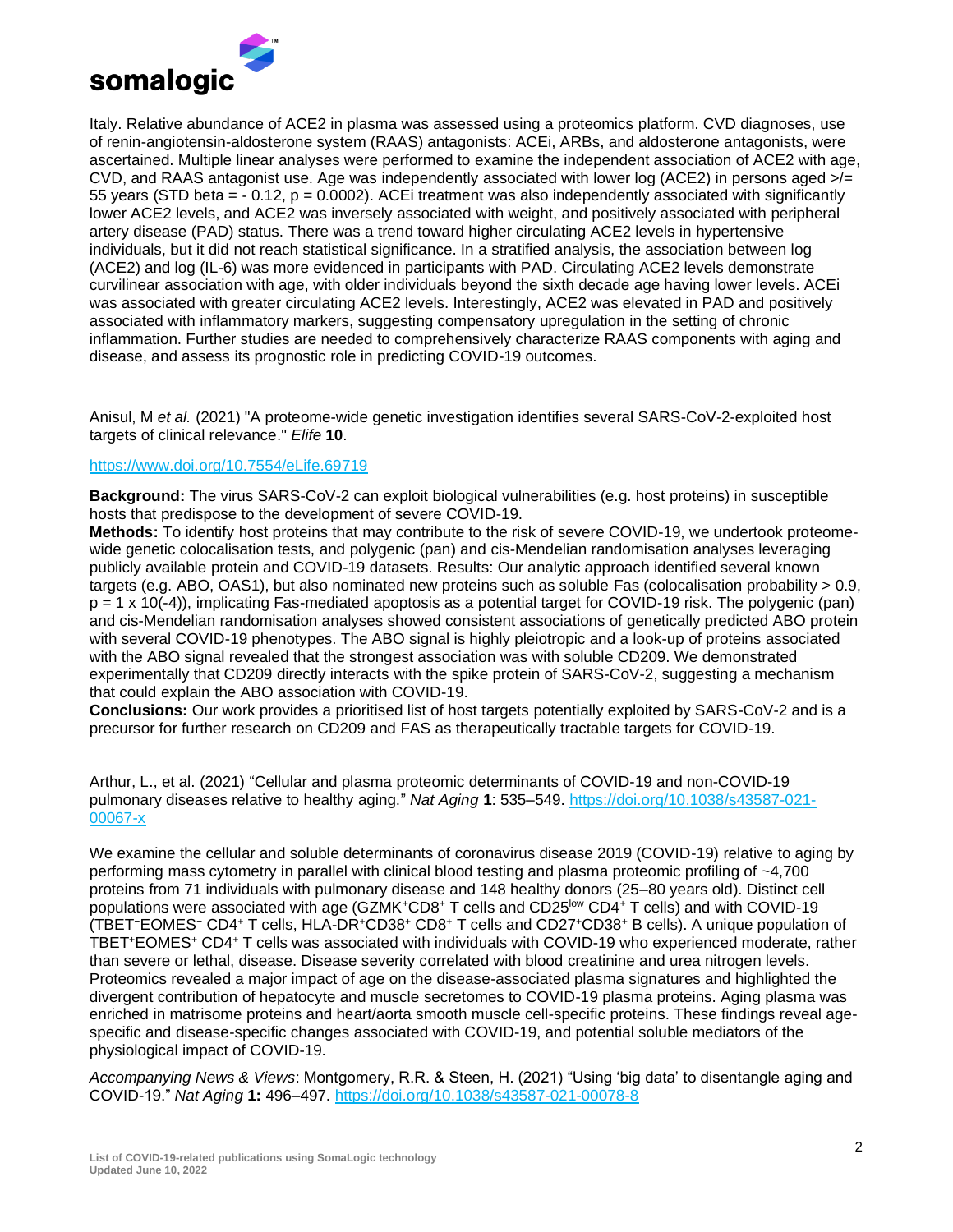

Italy. Relative abundance of ACE2 in plasma was assessed using a proteomics platform. CVD diagnoses, use of renin-angiotensin-aldosterone system (RAAS) antagonists: ACEi, ARBs, and aldosterone antagonists, were ascertained. Multiple linear analyses were performed to examine the independent association of ACE2 with age, CVD, and RAAS antagonist use. Age was independently associated with lower log (ACE2) in persons aged  $\rightarrow$  = 55 years (STD beta = - 0.12, p = 0.0002). ACEi treatment was also independently associated with significantly lower ACE2 levels, and ACE2 was inversely associated with weight, and positively associated with peripheral artery disease (PAD) status. There was a trend toward higher circulating ACE2 levels in hypertensive individuals, but it did not reach statistical significance. In a stratified analysis, the association between log (ACE2) and log (IL-6) was more evidenced in participants with PAD. Circulating ACE2 levels demonstrate curvilinear association with age, with older individuals beyond the sixth decade age having lower levels. ACEi was associated with greater circulating ACE2 levels. Interestingly, ACE2 was elevated in PAD and positively associated with inflammatory markers, suggesting compensatory upregulation in the setting of chronic inflammation. Further studies are needed to comprehensively characterize RAAS components with aging and disease, and assess its prognostic role in predicting COVID-19 outcomes.

Anisul, M *et al.* (2021) "A proteome-wide genetic investigation identifies several SARS-CoV-2-exploited host targets of clinical relevance." *Elife* **10**.

## <https://www.doi.org/10.7554/eLife.69719>

**Background:** The virus SARS-CoV-2 can exploit biological vulnerabilities (e.g. host proteins) in susceptible hosts that predispose to the development of severe COVID-19.

**Methods:** To identify host proteins that may contribute to the risk of severe COVID-19, we undertook proteomewide genetic colocalisation tests, and polygenic (pan) and cis-Mendelian randomisation analyses leveraging publicly available protein and COVID-19 datasets. Results: Our analytic approach identified several known targets (e.g. ABO, OAS1), but also nominated new proteins such as soluble Fas (colocalisation probability > 0.9, p = 1 x 10(-4)), implicating Fas-mediated apoptosis as a potential target for COVID-19 risk. The polygenic (pan) and cis-Mendelian randomisation analyses showed consistent associations of genetically predicted ABO protein with several COVID-19 phenotypes. The ABO signal is highly pleiotropic and a look-up of proteins associated with the ABO signal revealed that the strongest association was with soluble CD209. We demonstrated experimentally that CD209 directly interacts with the spike protein of SARS-CoV-2, suggesting a mechanism that could explain the ABO association with COVID-19.

**Conclusions:** Our work provides a prioritised list of host targets potentially exploited by SARS-CoV-2 and is a precursor for further research on CD209 and FAS as therapeutically tractable targets for COVID-19.

Arthur, L., et al. (2021) "Cellular and plasma proteomic determinants of COVID-19 and non-COVID-19 pulmonary diseases relative to healthy aging." *Nat Aging* **1**: 535–549. [https://doi.org/10.1038/s43587-021-](https://doi.org/10.1038/s43587-021-00067-x) [00067-x](https://doi.org/10.1038/s43587-021-00067-x)

We examine the cellular and soluble determinants of coronavirus disease 2019 (COVID-19) relative to aging by performing mass cytometry in parallel with clinical blood testing and plasma proteomic profiling of ~4,700 proteins from 71 individuals with pulmonary disease and 148 healthy donors (25–80 years old). Distinct cell populations were associated with age (GZMK+CD8+ T cells and CD25<sup>low</sup> CD4+ T cells) and with COVID-19 (TBET<sup>−</sup>EOMES<sup>−</sup> CD4<sup>+</sup> T cells, HLA-DR<sup>+</sup>CD38<sup>+</sup> CD8<sup>+</sup> T cells and CD27<sup>+</sup>CD38<sup>+</sup> B cells). A unique population of TBET<sup>+</sup>EOMES<sup>+</sup> CD4<sup>+</sup> T cells was associated with individuals with COVID-19 who experienced moderate, rather than severe or lethal, disease. Disease severity correlated with blood creatinine and urea nitrogen levels. Proteomics revealed a major impact of age on the disease-associated plasma signatures and highlighted the divergent contribution of hepatocyte and muscle secretomes to COVID-19 plasma proteins. Aging plasma was enriched in matrisome proteins and heart/aorta smooth muscle cell-specific proteins. These findings reveal agespecific and disease-specific changes associated with COVID-19, and potential soluble mediators of the physiological impact of COVID-19.

*Accompanying News & Views*: Montgomery, R.R. & Steen, H. (2021) "Using 'big data' to disentangle aging and COVID-19." *Nat Aging* **1:** 496–497.<https://doi.org/10.1038/s43587-021-00078-8>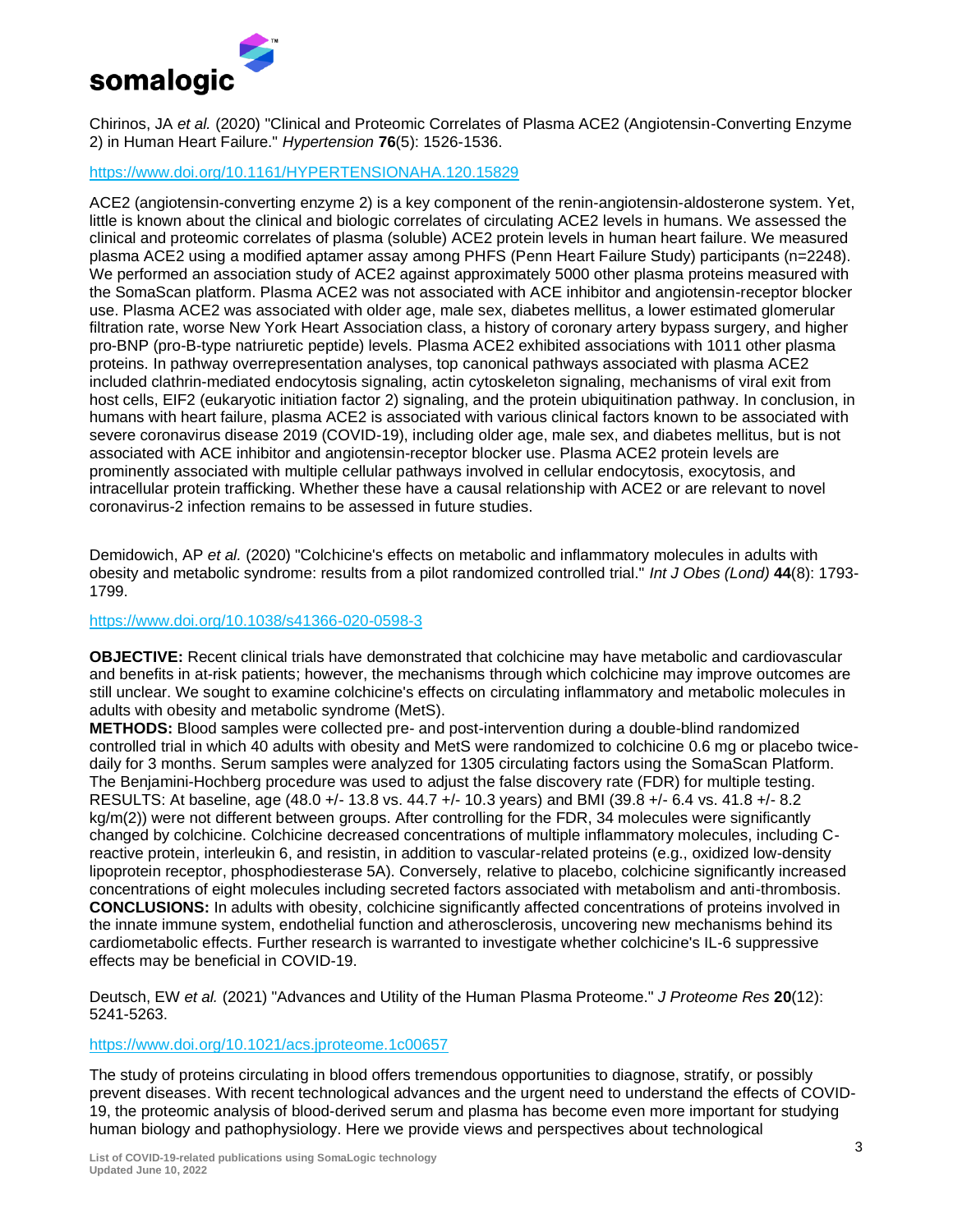

Chirinos, JA *et al.* (2020) "Clinical and Proteomic Correlates of Plasma ACE2 (Angiotensin-Converting Enzyme 2) in Human Heart Failure." *Hypertension* **76**(5): 1526-1536.

# <https://www.doi.org/10.1161/HYPERTENSIONAHA.120.15829>

ACE2 (angiotensin-converting enzyme 2) is a key component of the renin-angiotensin-aldosterone system. Yet, little is known about the clinical and biologic correlates of circulating ACE2 levels in humans. We assessed the clinical and proteomic correlates of plasma (soluble) ACE2 protein levels in human heart failure. We measured plasma ACE2 using a modified aptamer assay among PHFS (Penn Heart Failure Study) participants (n=2248). We performed an association study of ACE2 against approximately 5000 other plasma proteins measured with the SomaScan platform. Plasma ACE2 was not associated with ACE inhibitor and angiotensin-receptor blocker use. Plasma ACE2 was associated with older age, male sex, diabetes mellitus, a lower estimated glomerular filtration rate, worse New York Heart Association class, a history of coronary artery bypass surgery, and higher pro-BNP (pro-B-type natriuretic peptide) levels. Plasma ACE2 exhibited associations with 1011 other plasma proteins. In pathway overrepresentation analyses, top canonical pathways associated with plasma ACE2 included clathrin-mediated endocytosis signaling, actin cytoskeleton signaling, mechanisms of viral exit from host cells, EIF2 (eukaryotic initiation factor 2) signaling, and the protein ubiquitination pathway. In conclusion, in humans with heart failure, plasma ACE2 is associated with various clinical factors known to be associated with severe coronavirus disease 2019 (COVID-19), including older age, male sex, and diabetes mellitus, but is not associated with ACE inhibitor and angiotensin-receptor blocker use. Plasma ACE2 protein levels are prominently associated with multiple cellular pathways involved in cellular endocytosis, exocytosis, and intracellular protein trafficking. Whether these have a causal relationship with ACE2 or are relevant to novel coronavirus-2 infection remains to be assessed in future studies.

Demidowich, AP *et al.* (2020) "Colchicine's effects on metabolic and inflammatory molecules in adults with obesity and metabolic syndrome: results from a pilot randomized controlled trial." *Int J Obes (Lond)* **44**(8): 1793- 1799.

# <https://www.doi.org/10.1038/s41366-020-0598-3>

**OBJECTIVE:** Recent clinical trials have demonstrated that colchicine may have metabolic and cardiovascular and benefits in at-risk patients; however, the mechanisms through which colchicine may improve outcomes are still unclear. We sought to examine colchicine's effects on circulating inflammatory and metabolic molecules in adults with obesity and metabolic syndrome (MetS).

**METHODS:** Blood samples were collected pre- and post-intervention during a double-blind randomized controlled trial in which 40 adults with obesity and MetS were randomized to colchicine 0.6 mg or placebo twicedaily for 3 months. Serum samples were analyzed for 1305 circulating factors using the SomaScan Platform. The Benjamini-Hochberg procedure was used to adjust the false discovery rate (FDR) for multiple testing. RESULTS: At baseline, age (48.0 +/- 13.8 vs. 44.7 +/- 10.3 years) and BMI (39.8 +/- 6.4 vs. 41.8 +/- 8.2 kg/m(2)) were not different between groups. After controlling for the FDR, 34 molecules were significantly changed by colchicine. Colchicine decreased concentrations of multiple inflammatory molecules, including Creactive protein, interleukin 6, and resistin, in addition to vascular-related proteins (e.g., oxidized low-density lipoprotein receptor, phosphodiesterase 5A). Conversely, relative to placebo, colchicine significantly increased concentrations of eight molecules including secreted factors associated with metabolism and anti-thrombosis. **CONCLUSIONS:** In adults with obesity, colchicine significantly affected concentrations of proteins involved in the innate immune system, endothelial function and atherosclerosis, uncovering new mechanisms behind its cardiometabolic effects. Further research is warranted to investigate whether colchicine's IL-6 suppressive effects may be beneficial in COVID-19.

Deutsch, EW *et al.* (2021) "Advances and Utility of the Human Plasma Proteome." *J Proteome Res* **20**(12): 5241-5263.

# <https://www.doi.org/10.1021/acs.jproteome.1c00657>

The study of proteins circulating in blood offers tremendous opportunities to diagnose, stratify, or possibly prevent diseases. With recent technological advances and the urgent need to understand the effects of COVID-19, the proteomic analysis of blood-derived serum and plasma has become even more important for studying human biology and pathophysiology. Here we provide views and perspectives about technological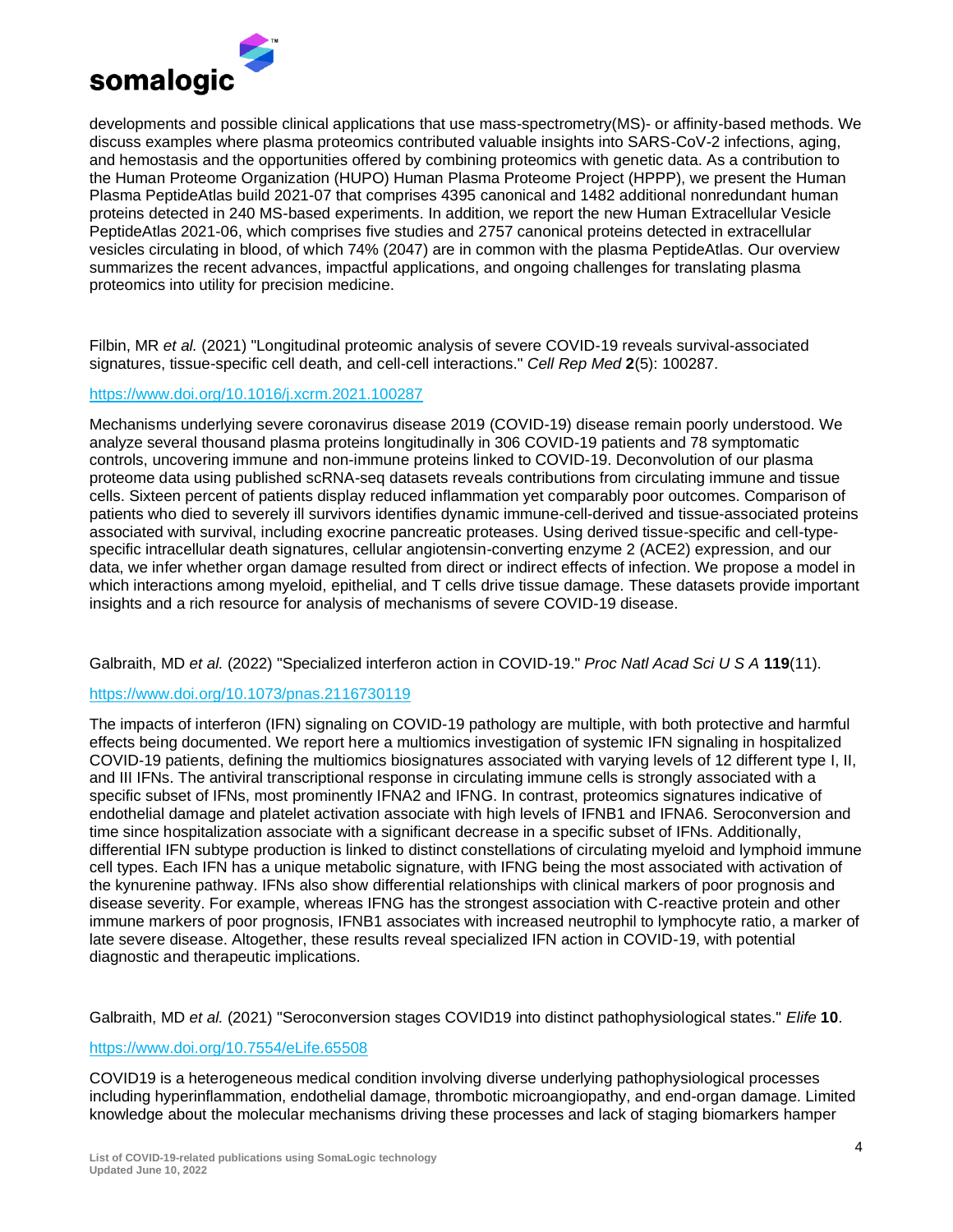

developments and possible clinical applications that use mass-spectrometry(MS)- or affinity-based methods. We discuss examples where plasma proteomics contributed valuable insights into SARS-CoV-2 infections, aging, and hemostasis and the opportunities offered by combining proteomics with genetic data. As a contribution to the Human Proteome Organization (HUPO) Human Plasma Proteome Project (HPPP), we present the Human Plasma PeptideAtlas build 2021-07 that comprises 4395 canonical and 1482 additional nonredundant human proteins detected in 240 MS-based experiments. In addition, we report the new Human Extracellular Vesicle PeptideAtlas 2021-06, which comprises five studies and 2757 canonical proteins detected in extracellular vesicles circulating in blood, of which 74% (2047) are in common with the plasma PeptideAtlas. Our overview summarizes the recent advances, impactful applications, and ongoing challenges for translating plasma proteomics into utility for precision medicine.

Filbin, MR *et al.* (2021) "Longitudinal proteomic analysis of severe COVID-19 reveals survival-associated signatures, tissue-specific cell death, and cell-cell interactions." *Cell Rep Med* **2**(5): 100287.

### <https://www.doi.org/10.1016/j.xcrm.2021.100287>

Mechanisms underlying severe coronavirus disease 2019 (COVID-19) disease remain poorly understood. We analyze several thousand plasma proteins longitudinally in 306 COVID-19 patients and 78 symptomatic controls, uncovering immune and non-immune proteins linked to COVID-19. Deconvolution of our plasma proteome data using published scRNA-seq datasets reveals contributions from circulating immune and tissue cells. Sixteen percent of patients display reduced inflammation yet comparably poor outcomes. Comparison of patients who died to severely ill survivors identifies dynamic immune-cell-derived and tissue-associated proteins associated with survival, including exocrine pancreatic proteases. Using derived tissue-specific and cell-typespecific intracellular death signatures, cellular angiotensin-converting enzyme 2 (ACE2) expression, and our data, we infer whether organ damage resulted from direct or indirect effects of infection. We propose a model in which interactions among myeloid, epithelial, and T cells drive tissue damage. These datasets provide important insights and a rich resource for analysis of mechanisms of severe COVID-19 disease.

#### Galbraith, MD *et al.* (2022) "Specialized interferon action in COVID-19." *Proc Natl Acad Sci U S A* **119**(11).

#### <https://www.doi.org/10.1073/pnas.2116730119>

The impacts of interferon (IFN) signaling on COVID-19 pathology are multiple, with both protective and harmful effects being documented. We report here a multiomics investigation of systemic IFN signaling in hospitalized COVID-19 patients, defining the multiomics biosignatures associated with varying levels of 12 different type I, II, and III IFNs. The antiviral transcriptional response in circulating immune cells is strongly associated with a specific subset of IFNs, most prominently IFNA2 and IFNG. In contrast, proteomics signatures indicative of endothelial damage and platelet activation associate with high levels of IFNB1 and IFNA6. Seroconversion and time since hospitalization associate with a significant decrease in a specific subset of IFNs. Additionally, differential IFN subtype production is linked to distinct constellations of circulating myeloid and lymphoid immune cell types. Each IFN has a unique metabolic signature, with IFNG being the most associated with activation of the kynurenine pathway. IFNs also show differential relationships with clinical markers of poor prognosis and disease severity. For example, whereas IFNG has the strongest association with C-reactive protein and other immune markers of poor prognosis, IFNB1 associates with increased neutrophil to lymphocyte ratio, a marker of late severe disease. Altogether, these results reveal specialized IFN action in COVID-19, with potential diagnostic and therapeutic implications.

Galbraith, MD *et al.* (2021) "Seroconversion stages COVID19 into distinct pathophysiological states." *Elife* **10**.

#### <https://www.doi.org/10.7554/eLife.65508>

COVID19 is a heterogeneous medical condition involving diverse underlying pathophysiological processes including hyperinflammation, endothelial damage, thrombotic microangiopathy, and end-organ damage. Limited knowledge about the molecular mechanisms driving these processes and lack of staging biomarkers hamper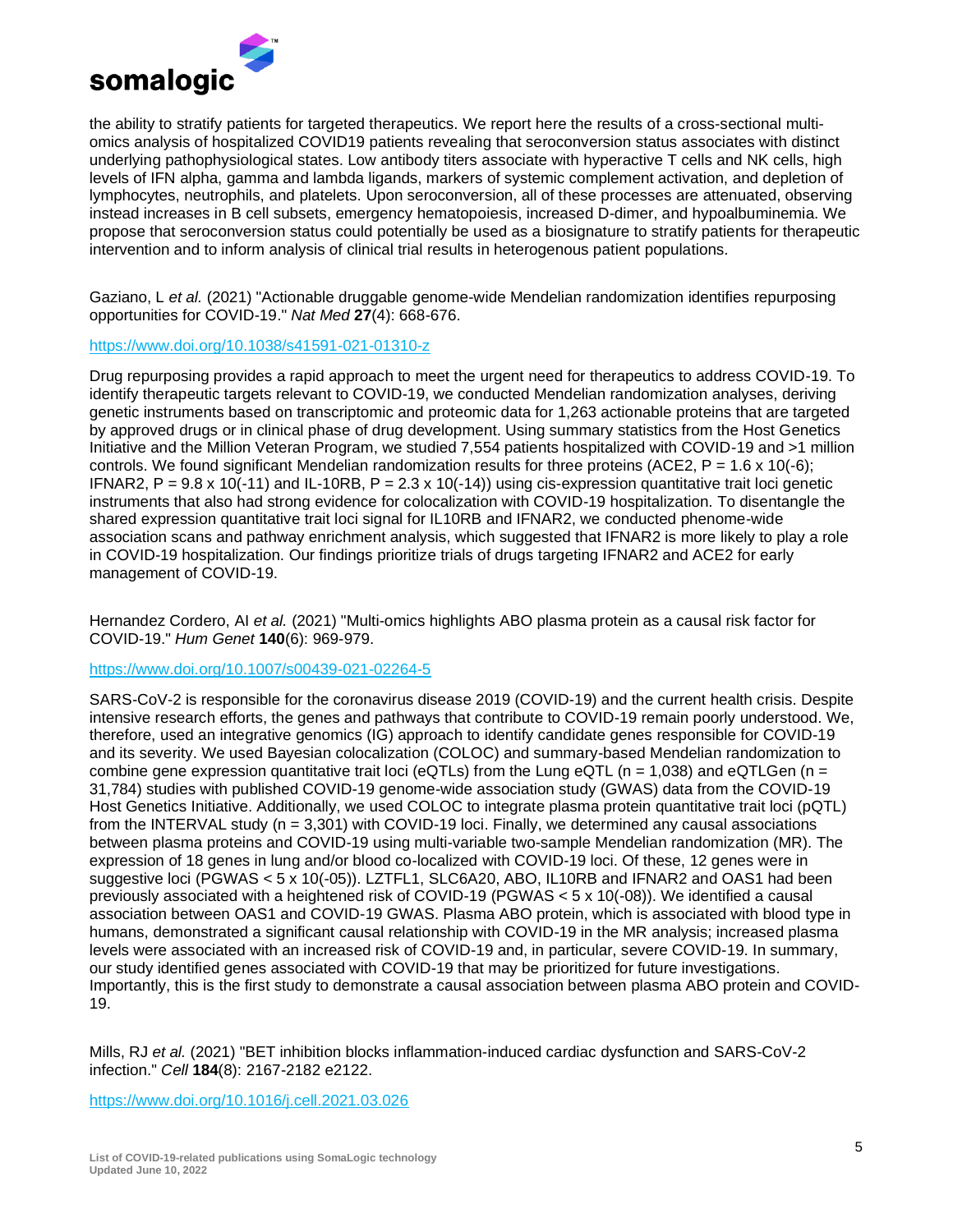

the ability to stratify patients for targeted therapeutics. We report here the results of a cross-sectional multiomics analysis of hospitalized COVID19 patients revealing that seroconversion status associates with distinct underlying pathophysiological states. Low antibody titers associate with hyperactive T cells and NK cells, high levels of IFN alpha, gamma and lambda ligands, markers of systemic complement activation, and depletion of lymphocytes, neutrophils, and platelets. Upon seroconversion, all of these processes are attenuated, observing instead increases in B cell subsets, emergency hematopoiesis, increased D-dimer, and hypoalbuminemia. We propose that seroconversion status could potentially be used as a biosignature to stratify patients for therapeutic intervention and to inform analysis of clinical trial results in heterogenous patient populations.

Gaziano, L *et al.* (2021) "Actionable druggable genome-wide Mendelian randomization identifies repurposing opportunities for COVID-19." *Nat Med* **27**(4): 668-676.

### <https://www.doi.org/10.1038/s41591-021-01310-z>

Drug repurposing provides a rapid approach to meet the urgent need for therapeutics to address COVID-19. To identify therapeutic targets relevant to COVID-19, we conducted Mendelian randomization analyses, deriving genetic instruments based on transcriptomic and proteomic data for 1,263 actionable proteins that are targeted by approved drugs or in clinical phase of drug development. Using summary statistics from the Host Genetics Initiative and the Million Veteran Program, we studied 7,554 patients hospitalized with COVID-19 and >1 million controls. We found significant Mendelian randomization results for three proteins (ACE2,  $P = 1.6 \times 10(-6)$ ; IFNAR2,  $P = 9.8 \times 10(-11)$  and IL-10RB,  $P = 2.3 \times 10(-14)$  using cis-expression quantitative trait loci genetic instruments that also had strong evidence for colocalization with COVID-19 hospitalization. To disentangle the shared expression quantitative trait loci signal for IL10RB and IFNAR2, we conducted phenome-wide association scans and pathway enrichment analysis, which suggested that IFNAR2 is more likely to play a role in COVID-19 hospitalization. Our findings prioritize trials of drugs targeting IFNAR2 and ACE2 for early management of COVID-19.

Hernandez Cordero, AI *et al.* (2021) "Multi-omics highlights ABO plasma protein as a causal risk factor for COVID-19." *Hum Genet* **140**(6): 969-979.

# <https://www.doi.org/10.1007/s00439-021-02264-5>

SARS-CoV-2 is responsible for the coronavirus disease 2019 (COVID-19) and the current health crisis. Despite intensive research efforts, the genes and pathways that contribute to COVID-19 remain poorly understood. We, therefore, used an integrative genomics (IG) approach to identify candidate genes responsible for COVID-19 and its severity. We used Bayesian colocalization (COLOC) and summary-based Mendelian randomization to combine gene expression quantitative trait loci (eQTLs) from the Lung eQTL (n = 1,038) and eQTLGen (n = 31,784) studies with published COVID-19 genome-wide association study (GWAS) data from the COVID-19 Host Genetics Initiative. Additionally, we used COLOC to integrate plasma protein quantitative trait loci (pQTL) from the INTERVAL study (n = 3,301) with COVID-19 loci. Finally, we determined any causal associations between plasma proteins and COVID-19 using multi-variable two-sample Mendelian randomization (MR). The expression of 18 genes in lung and/or blood co-localized with COVID-19 loci. Of these, 12 genes were in suggestive loci (PGWAS < 5 x 10(-05)). LZTFL1, SLC6A20, ABO, IL10RB and IFNAR2 and OAS1 had been previously associated with a heightened risk of COVID-19 (PGWAS < 5 x 10(-08)). We identified a causal association between OAS1 and COVID-19 GWAS. Plasma ABO protein, which is associated with blood type in humans, demonstrated a significant causal relationship with COVID-19 in the MR analysis; increased plasma levels were associated with an increased risk of COVID-19 and, in particular, severe COVID-19. In summary, our study identified genes associated with COVID-19 that may be prioritized for future investigations. Importantly, this is the first study to demonstrate a causal association between plasma ABO protein and COVID-19.

Mills, RJ *et al.* (2021) "BET inhibition blocks inflammation-induced cardiac dysfunction and SARS-CoV-2 infection." *Cell* **184**(8): 2167-2182 e2122.

<https://www.doi.org/10.1016/j.cell.2021.03.026>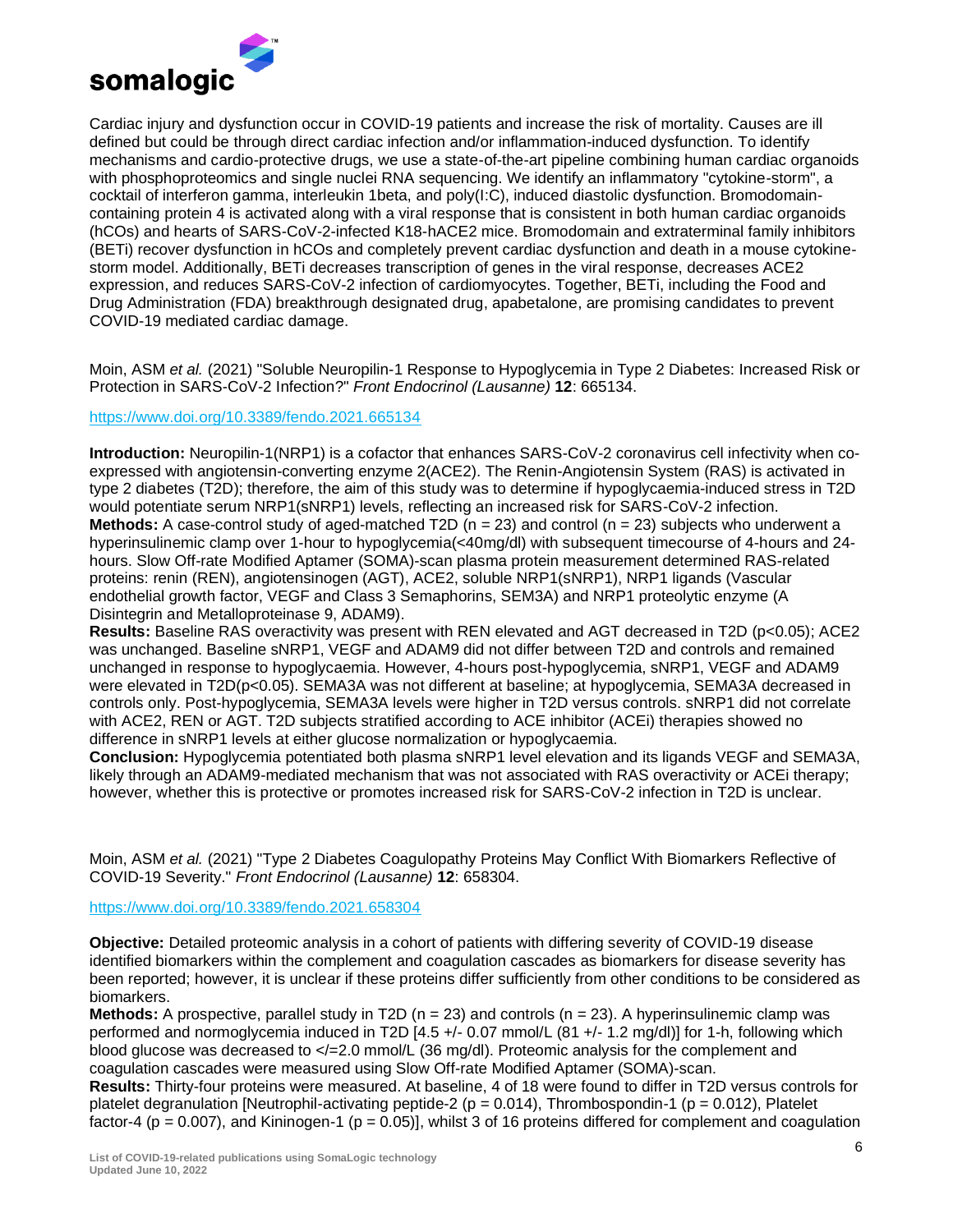

Cardiac injury and dysfunction occur in COVID-19 patients and increase the risk of mortality. Causes are ill defined but could be through direct cardiac infection and/or inflammation-induced dysfunction. To identify mechanisms and cardio-protective drugs, we use a state-of-the-art pipeline combining human cardiac organoids with phosphoproteomics and single nuclei RNA sequencing. We identify an inflammatory "cytokine-storm", a cocktail of interferon gamma, interleukin 1beta, and poly(I:C), induced diastolic dysfunction. Bromodomaincontaining protein 4 is activated along with a viral response that is consistent in both human cardiac organoids (hCOs) and hearts of SARS-CoV-2-infected K18-hACE2 mice. Bromodomain and extraterminal family inhibitors (BETi) recover dysfunction in hCOs and completely prevent cardiac dysfunction and death in a mouse cytokinestorm model. Additionally, BETi decreases transcription of genes in the viral response, decreases ACE2 expression, and reduces SARS-CoV-2 infection of cardiomyocytes. Together, BETi, including the Food and Drug Administration (FDA) breakthrough designated drug, apabetalone, are promising candidates to prevent COVID-19 mediated cardiac damage.

Moin, ASM *et al.* (2021) "Soluble Neuropilin-1 Response to Hypoglycemia in Type 2 Diabetes: Increased Risk or Protection in SARS-CoV-2 Infection?" *Front Endocrinol (Lausanne)* **12**: 665134.

### <https://www.doi.org/10.3389/fendo.2021.665134>

**Introduction:** Neuropilin-1(NRP1) is a cofactor that enhances SARS-CoV-2 coronavirus cell infectivity when coexpressed with angiotensin-converting enzyme 2(ACE2). The Renin-Angiotensin System (RAS) is activated in type 2 diabetes (T2D); therefore, the aim of this study was to determine if hypoglycaemia-induced stress in T2D would potentiate serum NRP1(sNRP1) levels, reflecting an increased risk for SARS-CoV-2 infection. **Methods:** A case-control study of aged-matched T2D  $(n = 23)$  and control  $(n = 23)$  subjects who underwent a hyperinsulinemic clamp over 1-hour to hypoglycemia(<40mg/dl) with subsequent timecourse of 4-hours and 24 hours. Slow Off-rate Modified Aptamer (SOMA)-scan plasma protein measurement determined RAS-related proteins: renin (REN), angiotensinogen (AGT), ACE2, soluble NRP1(sNRP1), NRP1 ligands (Vascular endothelial growth factor, VEGF and Class 3 Semaphorins, SEM3A) and NRP1 proteolytic enzyme (A Disintegrin and Metalloproteinase 9, ADAM9).

**Results:** Baseline RAS overactivity was present with REN elevated and AGT decreased in T2D (p<0.05); ACE2 was unchanged. Baseline sNRP1, VEGF and ADAM9 did not differ between T2D and controls and remained unchanged in response to hypoglycaemia. However, 4-hours post-hypoglycemia, sNRP1, VEGF and ADAM9 were elevated in T2D(p<0.05). SEMA3A was not different at baseline; at hypoglycemia, SEMA3A decreased in controls only. Post-hypoglycemia, SEMA3A levels were higher in T2D versus controls. sNRP1 did not correlate with ACE2, REN or AGT. T2D subjects stratified according to ACE inhibitor (ACEi) therapies showed no difference in sNRP1 levels at either glucose normalization or hypoglycaemia.

**Conclusion:** Hypoglycemia potentiated both plasma sNRP1 level elevation and its ligands VEGF and SEMA3A, likely through an ADAM9-mediated mechanism that was not associated with RAS overactivity or ACEi therapy; however, whether this is protective or promotes increased risk for SARS-CoV-2 infection in T2D is unclear.

Moin, ASM *et al.* (2021) "Type 2 Diabetes Coagulopathy Proteins May Conflict With Biomarkers Reflective of COVID-19 Severity." *Front Endocrinol (Lausanne)* **12**: 658304.

<https://www.doi.org/10.3389/fendo.2021.658304>

**Objective:** Detailed proteomic analysis in a cohort of patients with differing severity of COVID-19 disease identified biomarkers within the complement and coagulation cascades as biomarkers for disease severity has been reported; however, it is unclear if these proteins differ sufficiently from other conditions to be considered as biomarkers.

**Methods:** A prospective, parallel study in T2D (n = 23) and controls (n = 23). A hyperinsulinemic clamp was performed and normoglycemia induced in T2D [4.5 +/- 0.07 mmol/L (81 +/- 1.2 mg/dl)] for 1-h, following which blood glucose was decreased to  $\epsilon$  = 2.0 mmol/L (36 mg/dl). Proteomic analysis for the complement and coagulation cascades were measured using Slow Off-rate Modified Aptamer (SOMA)-scan.

**Results:** Thirty-four proteins were measured. At baseline, 4 of 18 were found to differ in T2D versus controls for platelet degranulation [Neutrophil-activating peptide-2 ( $p = 0.014$ ), Thrombospondin-1 ( $p = 0.012$ ), Platelet factor-4 ( $p = 0.007$ ), and Kininogen-1 ( $p = 0.05$ ), whilst 3 of 16 proteins differed for complement and coagulation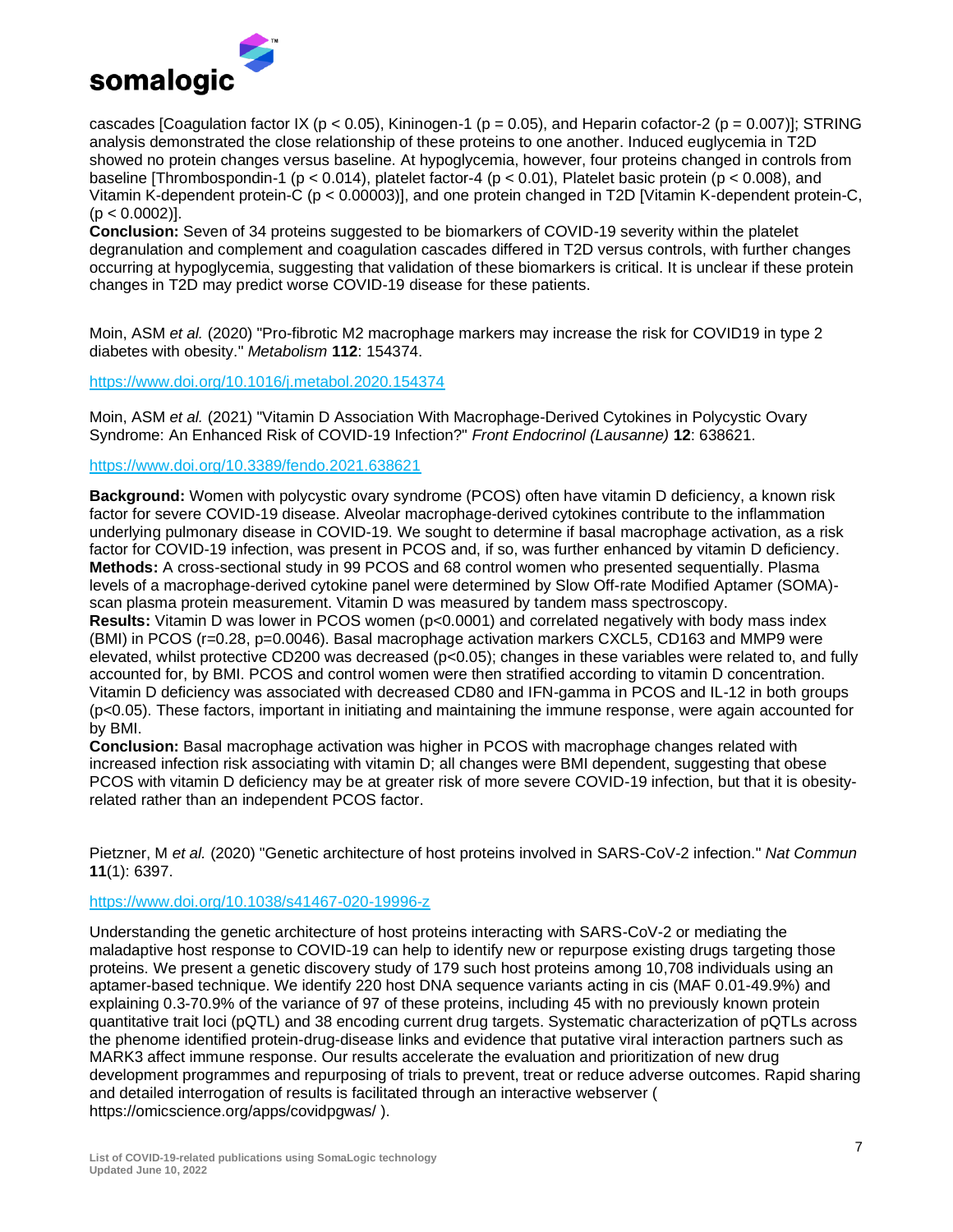

cascades [Coagulation factor IX ( $p < 0.05$ ), Kininogen-1 ( $p = 0.05$ ), and Heparin cofactor-2 ( $p = 0.007$ )]; STRING analysis demonstrated the close relationship of these proteins to one another. Induced euglycemia in T2D showed no protein changes versus baseline. At hypoglycemia, however, four proteins changed in controls from baseline [Thrombospondin-1 (p < 0.014), platelet factor-4 (p < 0.01), Platelet basic protein (p < 0.008), and Vitamin K-dependent protein-C (p < 0.00003)], and one protein changed in T2D [Vitamin K-dependent protein-C,  $(p < 0.0002)$ ].

**Conclusion:** Seven of 34 proteins suggested to be biomarkers of COVID-19 severity within the platelet degranulation and complement and coagulation cascades differed in T2D versus controls, with further changes occurring at hypoglycemia, suggesting that validation of these biomarkers is critical. It is unclear if these protein changes in T2D may predict worse COVID-19 disease for these patients.

Moin, ASM *et al.* (2020) "Pro-fibrotic M2 macrophage markers may increase the risk for COVID19 in type 2 diabetes with obesity." *Metabolism* **112**: 154374.

<https://www.doi.org/10.1016/j.metabol.2020.154374>

Moin, ASM *et al.* (2021) "Vitamin D Association With Macrophage-Derived Cytokines in Polycystic Ovary Syndrome: An Enhanced Risk of COVID-19 Infection?" *Front Endocrinol (Lausanne)* **12**: 638621.

### <https://www.doi.org/10.3389/fendo.2021.638621>

**Background:** Women with polycystic ovary syndrome (PCOS) often have vitamin D deficiency, a known risk factor for severe COVID-19 disease. Alveolar macrophage-derived cytokines contribute to the inflammation underlying pulmonary disease in COVID-19. We sought to determine if basal macrophage activation, as a risk factor for COVID-19 infection, was present in PCOS and, if so, was further enhanced by vitamin D deficiency. **Methods:** A cross-sectional study in 99 PCOS and 68 control women who presented sequentially. Plasma levels of a macrophage-derived cytokine panel were determined by Slow Off-rate Modified Aptamer (SOMA) scan plasma protein measurement. Vitamin D was measured by tandem mass spectroscopy. **Results:** Vitamin D was lower in PCOS women (p<0.0001) and correlated negatively with body mass index (BMI) in PCOS (r=0.28, p=0.0046). Basal macrophage activation markers CXCL5, CD163 and MMP9 were elevated, whilst protective CD200 was decreased (p<0.05); changes in these variables were related to, and fully accounted for, by BMI. PCOS and control women were then stratified according to vitamin D concentration. Vitamin D deficiency was associated with decreased CD80 and IFN-gamma in PCOS and IL-12 in both groups (p<0.05). These factors, important in initiating and maintaining the immune response, were again accounted for by BMI.

**Conclusion:** Basal macrophage activation was higher in PCOS with macrophage changes related with increased infection risk associating with vitamin D; all changes were BMI dependent, suggesting that obese PCOS with vitamin D deficiency may be at greater risk of more severe COVID-19 infection, but that it is obesityrelated rather than an independent PCOS factor.

Pietzner, M *et al.* (2020) "Genetic architecture of host proteins involved in SARS-CoV-2 infection." *Nat Commun* **11**(1): 6397.

# <https://www.doi.org/10.1038/s41467-020-19996-z>

Understanding the genetic architecture of host proteins interacting with SARS-CoV-2 or mediating the maladaptive host response to COVID-19 can help to identify new or repurpose existing drugs targeting those proteins. We present a genetic discovery study of 179 such host proteins among 10,708 individuals using an aptamer-based technique. We identify 220 host DNA sequence variants acting in cis (MAF 0.01-49.9%) and explaining 0.3-70.9% of the variance of 97 of these proteins, including 45 with no previously known protein quantitative trait loci (pQTL) and 38 encoding current drug targets. Systematic characterization of pQTLs across the phenome identified protein-drug-disease links and evidence that putative viral interaction partners such as MARK3 affect immune response. Our results accelerate the evaluation and prioritization of new drug development programmes and repurposing of trials to prevent, treat or reduce adverse outcomes. Rapid sharing and detailed interrogation of results is facilitated through an interactive webserver ( https://omicscience.org/apps/covidpgwas/ ).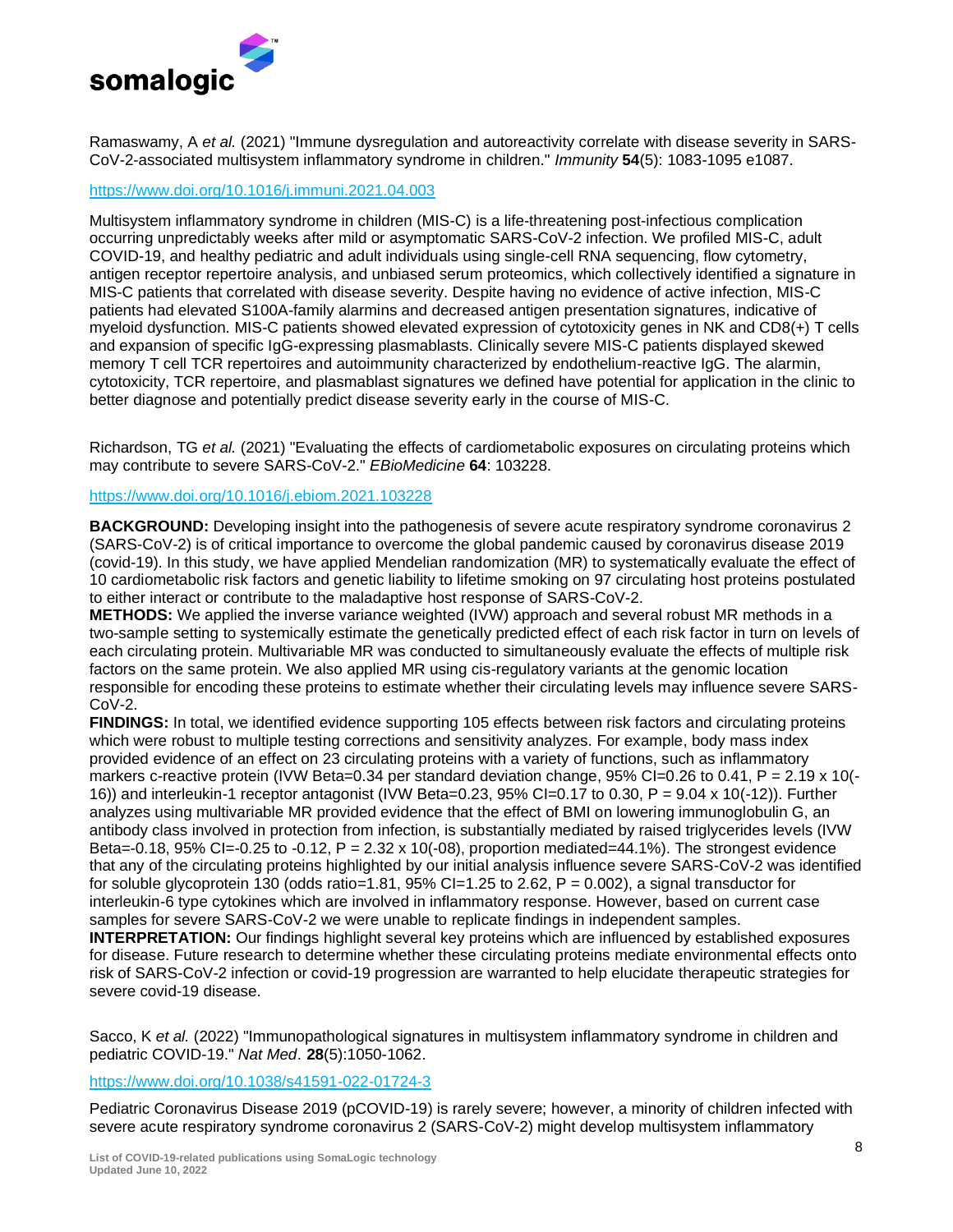

Ramaswamy, A *et al.* (2021) "Immune dysregulation and autoreactivity correlate with disease severity in SARS-CoV-2-associated multisystem inflammatory syndrome in children." *Immunity* **54**(5): 1083-1095 e1087.

### <https://www.doi.org/10.1016/j.immuni.2021.04.003>

Multisystem inflammatory syndrome in children (MIS-C) is a life-threatening post-infectious complication occurring unpredictably weeks after mild or asymptomatic SARS-CoV-2 infection. We profiled MIS-C, adult COVID-19, and healthy pediatric and adult individuals using single-cell RNA sequencing, flow cytometry, antigen receptor repertoire analysis, and unbiased serum proteomics, which collectively identified a signature in MIS-C patients that correlated with disease severity. Despite having no evidence of active infection, MIS-C patients had elevated S100A-family alarmins and decreased antigen presentation signatures, indicative of myeloid dysfunction. MIS-C patients showed elevated expression of cytotoxicity genes in NK and CD8(+) T cells and expansion of specific IgG-expressing plasmablasts. Clinically severe MIS-C patients displayed skewed memory T cell TCR repertoires and autoimmunity characterized by endothelium-reactive IgG. The alarmin, cytotoxicity, TCR repertoire, and plasmablast signatures we defined have potential for application in the clinic to better diagnose and potentially predict disease severity early in the course of MIS-C.

Richardson, TG *et al.* (2021) "Evaluating the effects of cardiometabolic exposures on circulating proteins which may contribute to severe SARS-CoV-2." *EBioMedicine* **64**: 103228.

# <https://www.doi.org/10.1016/j.ebiom.2021.103228>

**BACKGROUND:** Developing insight into the pathogenesis of severe acute respiratory syndrome coronavirus 2 (SARS-CoV-2) is of critical importance to overcome the global pandemic caused by coronavirus disease 2019 (covid-19). In this study, we have applied Mendelian randomization (MR) to systematically evaluate the effect of 10 cardiometabolic risk factors and genetic liability to lifetime smoking on 97 circulating host proteins postulated to either interact or contribute to the maladaptive host response of SARS-CoV-2.

**METHODS:** We applied the inverse variance weighted (IVW) approach and several robust MR methods in a two-sample setting to systemically estimate the genetically predicted effect of each risk factor in turn on levels of each circulating protein. Multivariable MR was conducted to simultaneously evaluate the effects of multiple risk factors on the same protein. We also applied MR using cis-regulatory variants at the genomic location responsible for encoding these proteins to estimate whether their circulating levels may influence severe SARS-CoV-2.

**FINDINGS:** In total, we identified evidence supporting 105 effects between risk factors and circulating proteins which were robust to multiple testing corrections and sensitivity analyzes. For example, body mass index provided evidence of an effect on 23 circulating proteins with a variety of functions, such as inflammatory markers c-reactive protein (IVW Beta=0.34 per standard deviation change,  $95\%$  CI=0.26 to 0.41, P = 2.19 x 10(-16)) and interleukin-1 receptor antagonist (IVW Beta=0.23, 95% CI=0.17 to 0.30, P = 9.04 x 10(-12)). Further analyzes using multivariable MR provided evidence that the effect of BMI on lowering immunoglobulin G, an antibody class involved in protection from infection, is substantially mediated by raised triglycerides levels (IVW Beta=-0.18, 95% CI=-0.25 to -0.12, P =  $2.32 \times 10(-08)$ , proportion mediated=44.1%). The strongest evidence that any of the circulating proteins highlighted by our initial analysis influence severe SARS-CoV-2 was identified for soluble glycoprotein 130 (odds ratio=1.81, 95% CI=1.25 to 2.62,  $P = 0.002$ ), a signal transductor for interleukin-6 type cytokines which are involved in inflammatory response. However, based on current case samples for severe SARS-CoV-2 we were unable to replicate findings in independent samples. **INTERPRETATION:** Our findings highlight several key proteins which are influenced by established exposures for disease. Future research to determine whether these circulating proteins mediate environmental effects onto risk of SARS-CoV-2 infection or covid-19 progression are warranted to help elucidate therapeutic strategies for severe covid-19 disease.

Sacco, K *et al.* (2022) "Immunopathological signatures in multisystem inflammatory syndrome in children and pediatric COVID-19." *Nat Med*. **28**(5):1050-1062.

#### <https://www.doi.org/10.1038/s41591-022-01724-3>

Pediatric Coronavirus Disease 2019 (pCOVID-19) is rarely severe; however, a minority of children infected with severe acute respiratory syndrome coronavirus 2 (SARS-CoV-2) might develop multisystem inflammatory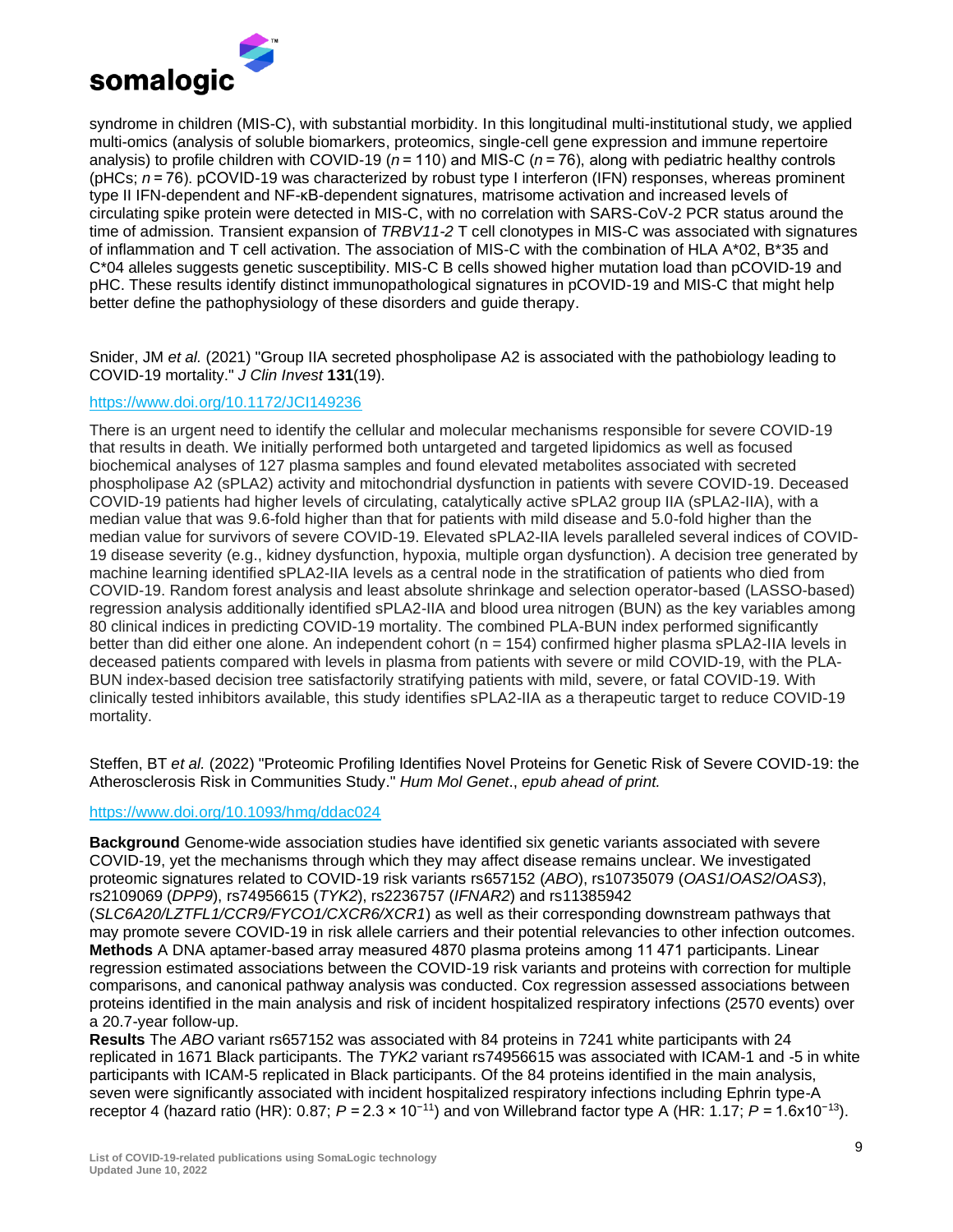

syndrome in children (MIS-C), with substantial morbidity. In this longitudinal multi-institutional study, we applied multi-omics (analysis of soluble biomarkers, proteomics, single-cell gene expression and immune repertoire analysis) to profile children with COVID-19 ( $n = 110$ ) and MIS-C ( $n = 76$ ), along with pediatric healthy controls (pHCs; *n* = 76). pCOVID-19 was characterized by robust type I interferon (IFN) responses, whereas prominent type II IFN-dependent and NF-κB-dependent signatures, matrisome activation and increased levels of circulating spike protein were detected in MIS-C, with no correlation with SARS-CoV-2 PCR status around the time of admission. Transient expansion of *TRBV11-2* T cell clonotypes in MIS-C was associated with signatures of inflammation and T cell activation. The association of MIS-C with the combination of HLA A\*02, B\*35 and C\*04 alleles suggests genetic susceptibility. MIS-C B cells showed higher mutation load than pCOVID-19 and pHC. These results identify distinct immunopathological signatures in pCOVID-19 and MIS-C that might help better define the pathophysiology of these disorders and guide therapy.

Snider, JM *et al.* (2021) "Group IIA secreted phospholipase A2 is associated with the pathobiology leading to COVID-19 mortality." *J Clin Invest* **131**(19).

# <https://www.doi.org/10.1172/JCI149236>

There is an urgent need to identify the cellular and molecular mechanisms responsible for severe COVID-19 that results in death. We initially performed both untargeted and targeted lipidomics as well as focused biochemical analyses of 127 plasma samples and found elevated metabolites associated with secreted phospholipase A2 (sPLA2) activity and mitochondrial dysfunction in patients with severe COVID-19. Deceased COVID-19 patients had higher levels of circulating, catalytically active sPLA2 group IIA (sPLA2-IIA), with a median value that was 9.6-fold higher than that for patients with mild disease and 5.0-fold higher than the median value for survivors of severe COVID-19. Elevated sPLA2-IIA levels paralleled several indices of COVID-19 disease severity (e.g., kidney dysfunction, hypoxia, multiple organ dysfunction). A decision tree generated by machine learning identified sPLA2-IIA levels as a central node in the stratification of patients who died from COVID-19. Random forest analysis and least absolute shrinkage and selection operator-based (LASSO-based) regression analysis additionally identified sPLA2-IIA and blood urea nitrogen (BUN) as the key variables among 80 clinical indices in predicting COVID-19 mortality. The combined PLA-BUN index performed significantly better than did either one alone. An independent cohort (n = 154) confirmed higher plasma sPLA2-IIA levels in deceased patients compared with levels in plasma from patients with severe or mild COVID-19, with the PLA-BUN index-based decision tree satisfactorily stratifying patients with mild, severe, or fatal COVID-19. With clinically tested inhibitors available, this study identifies sPLA2-IIA as a therapeutic target to reduce COVID-19 mortality.

Steffen, BT *et al.* (2022) "Proteomic Profiling Identifies Novel Proteins for Genetic Risk of Severe COVID-19: the Atherosclerosis Risk in Communities Study." *Hum Mol Genet*., *epub ahead of print.*

# <https://www.doi.org/10.1093/hmg/ddac024>

**Background** Genome-wide association studies have identified six genetic variants associated with severe COVID-19, yet the mechanisms through which they may affect disease remains unclear. We investigated proteomic signatures related to COVID-19 risk variants rs657152 (*ABO*), rs10735079 (*OAS1*/*OAS2*/*OAS3*), rs2109069 (*DPP9*), rs74956615 (*TYK2*), rs2236757 (*IFNAR2*) and rs11385942

(*SLC6A20/LZTFL1/CCR9/FYCO1/CXCR6/XCR1*) as well as their corresponding downstream pathways that may promote severe COVID-19 in risk allele carriers and their potential relevancies to other infection outcomes. **Methods** A DNA aptamer-based array measured 4870 plasma proteins among 11 471 participants. Linear regression estimated associations between the COVID-19 risk variants and proteins with correction for multiple comparisons, and canonical pathway analysis was conducted. Cox regression assessed associations between proteins identified in the main analysis and risk of incident hospitalized respiratory infections (2570 events) over a 20.7-year follow-up.

**Results** The *ABO* variant rs657152 was associated with 84 proteins in 7241 white participants with 24 replicated in 1671 Black participants. The *TYK2* variant rs74956615 was associated with ICAM-1 and -5 in white participants with ICAM-5 replicated in Black participants. Of the 84 proteins identified in the main analysis, seven were significantly associated with incident hospitalized respiratory infections including Ephrin type-A receptor 4 (hazard ratio (HR): 0.87; *P* = 2.3 × 10−11) and von Willebrand factor type A (HR: 1.17; *P* = 1.6x10−13).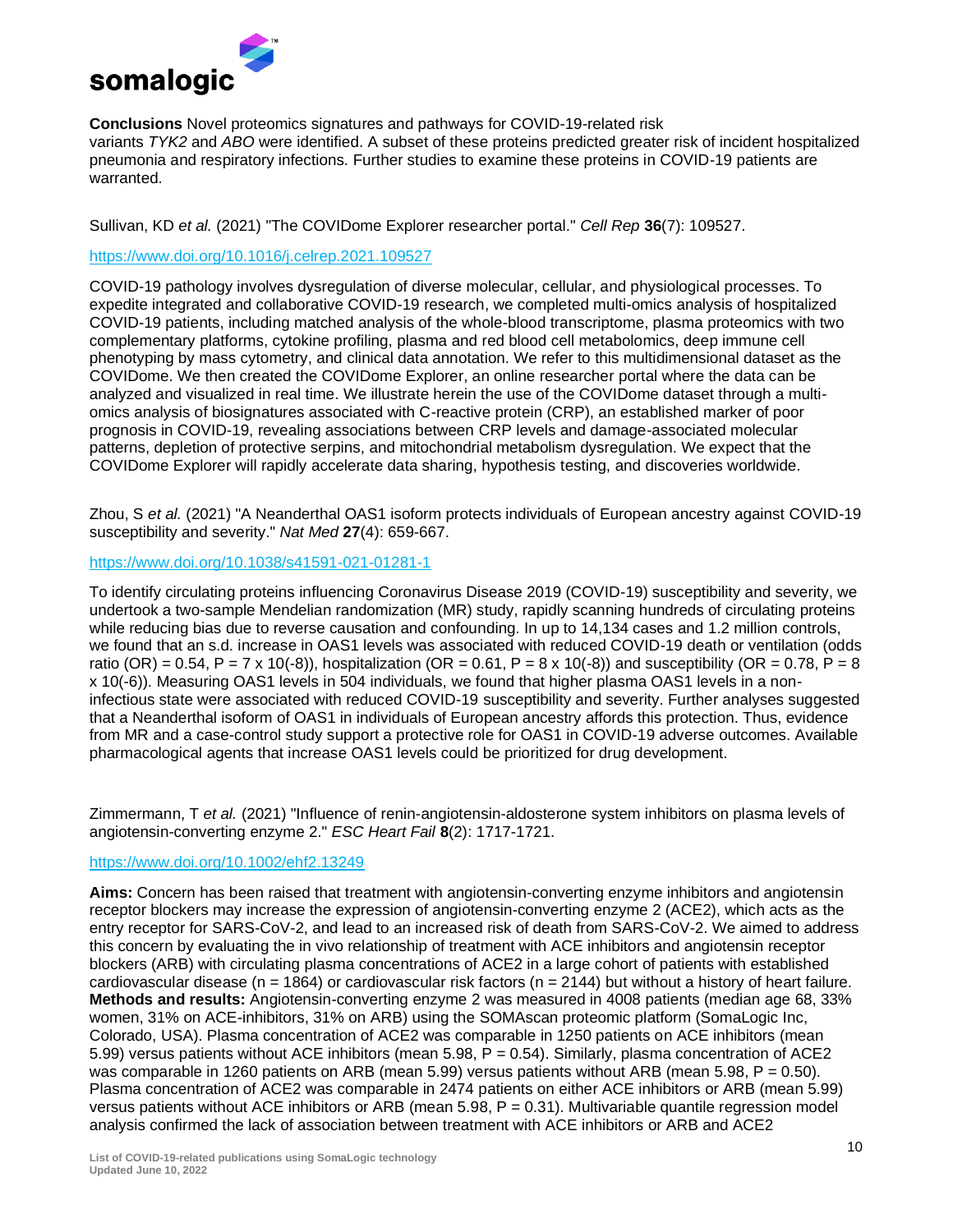

**Conclusions** Novel proteomics signatures and pathways for COVID-19-related risk variants *TYK2* and *ABO* were identified. A subset of these proteins predicted greater risk of incident hospitalized pneumonia and respiratory infections. Further studies to examine these proteins in COVID-19 patients are warranted.

Sullivan, KD *et al.* (2021) "The COVIDome Explorer researcher portal." *Cell Rep* **36**(7): 109527.

# <https://www.doi.org/10.1016/j.celrep.2021.109527>

COVID-19 pathology involves dysregulation of diverse molecular, cellular, and physiological processes. To expedite integrated and collaborative COVID-19 research, we completed multi-omics analysis of hospitalized COVID-19 patients, including matched analysis of the whole-blood transcriptome, plasma proteomics with two complementary platforms, cytokine profiling, plasma and red blood cell metabolomics, deep immune cell phenotyping by mass cytometry, and clinical data annotation. We refer to this multidimensional dataset as the COVIDome. We then created the COVIDome Explorer, an online researcher portal where the data can be analyzed and visualized in real time. We illustrate herein the use of the COVIDome dataset through a multiomics analysis of biosignatures associated with C-reactive protein (CRP), an established marker of poor prognosis in COVID-19, revealing associations between CRP levels and damage-associated molecular patterns, depletion of protective serpins, and mitochondrial metabolism dysregulation. We expect that the COVIDome Explorer will rapidly accelerate data sharing, hypothesis testing, and discoveries worldwide.

Zhou, S *et al.* (2021) "A Neanderthal OAS1 isoform protects individuals of European ancestry against COVID-19 susceptibility and severity." *Nat Med* **27**(4): 659-667.

# <https://www.doi.org/10.1038/s41591-021-01281-1>

To identify circulating proteins influencing Coronavirus Disease 2019 (COVID-19) susceptibility and severity, we undertook a two-sample Mendelian randomization (MR) study, rapidly scanning hundreds of circulating proteins while reducing bias due to reverse causation and confounding. In up to 14,134 cases and 1.2 million controls, we found that an s.d. increase in OAS1 levels was associated with reduced COVID-19 death or ventilation (odds ratio (OR) = 0.54, P = 7 x 10(-8)), hospitalization (OR = 0.61, P = 8 x 10(-8)) and susceptibility (OR = 0.78, P = 8 x 10(-6)). Measuring OAS1 levels in 504 individuals, we found that higher plasma OAS1 levels in a noninfectious state were associated with reduced COVID-19 susceptibility and severity. Further analyses suggested that a Neanderthal isoform of OAS1 in individuals of European ancestry affords this protection. Thus, evidence from MR and a case-control study support a protective role for OAS1 in COVID-19 adverse outcomes. Available pharmacological agents that increase OAS1 levels could be prioritized for drug development.

Zimmermann, T *et al.* (2021) "Influence of renin-angiotensin-aldosterone system inhibitors on plasma levels of angiotensin-converting enzyme 2." *ESC Heart Fail* **8**(2): 1717-1721.

# <https://www.doi.org/10.1002/ehf2.13249>

**Aims:** Concern has been raised that treatment with angiotensin-converting enzyme inhibitors and angiotensin receptor blockers may increase the expression of angiotensin-converting enzyme 2 (ACE2), which acts as the entry receptor for SARS-CoV-2, and lead to an increased risk of death from SARS-CoV-2. We aimed to address this concern by evaluating the in vivo relationship of treatment with ACE inhibitors and angiotensin receptor blockers (ARB) with circulating plasma concentrations of ACE2 in a large cohort of patients with established cardiovascular disease ( $n = 1864$ ) or cardiovascular risk factors ( $n = 2144$ ) but without a history of heart failure. **Methods and results:** Angiotensin-converting enzyme 2 was measured in 4008 patients (median age 68, 33% women, 31% on ACE-inhibitors, 31% on ARB) using the SOMAscan proteomic platform (SomaLogic Inc, Colorado, USA). Plasma concentration of ACE2 was comparable in 1250 patients on ACE inhibitors (mean 5.99) versus patients without ACE inhibitors (mean 5.98, P = 0.54). Similarly, plasma concentration of ACE2 was comparable in 1260 patients on ARB (mean 5.99) versus patients without ARB (mean 5.98, P = 0.50). Plasma concentration of ACE2 was comparable in 2474 patients on either ACE inhibitors or ARB (mean 5.99) versus patients without ACE inhibitors or ARB (mean  $5.98$ ,  $P = 0.31$ ). Multivariable quantile regression model analysis confirmed the lack of association between treatment with ACE inhibitors or ARB and ACE2